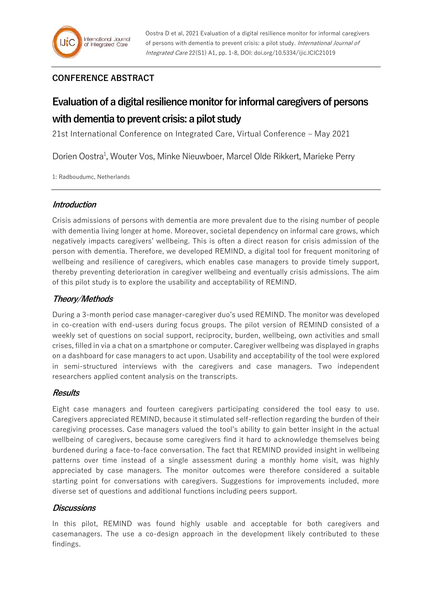# **CONFERENCE ABSTRACT**

# **Evaluation of a digital resilience monitor for informal caregivers of persons with dementia to prevent crisis: a pilot study**

21st International Conference on Integrated Care, Virtual Conference – May 2021

Dorien Oostra<sup>1</sup>, Wouter Vos, Minke Nieuwboer, Marcel Olde Rikkert, Marieke Perry

1: Radboudumc, Netherlands

# **Introduction**

Crisis admissions of persons with dementia are more prevalent due to the rising number of people with dementia living longer at home. Moreover, societal dependency on informal care grows, which negatively impacts caregivers' wellbeing. This is often a direct reason for crisis admission of the person with dementia. Therefore, we developed REMIND, a digital tool for frequent monitoring of wellbeing and resilience of caregivers, which enables case managers to provide timely support, thereby preventing deterioration in caregiver wellbeing and eventually crisis admissions. The aim of this pilot study is to explore the usability and acceptability of REMIND.

# **Theory/Methods**

During a 3-month period case manager-caregiver duo's used REMIND. The monitor was developed in co-creation with end-users during focus groups. The pilot version of REMIND consisted of a weekly set of questions on social support, reciprocity, burden, wellbeing, own activities and small crises, filled in via a chat on a smartphone or computer. Caregiver wellbeing was displayed in graphs on a dashboard for case managers to act upon. Usability and acceptability of the tool were explored in semi-structured interviews with the caregivers and case managers. Two independent researchers applied content analysis on the transcripts.

# **Results**

Eight case managers and fourteen caregivers participating considered the tool easy to use. Caregivers appreciated REMIND, because it stimulated self-reflection regarding the burden of their caregiving processes. Case managers valued the tool's ability to gain better insight in the actual wellbeing of caregivers, because some caregivers find it hard to acknowledge themselves being burdened during a face-to-face conversation. The fact that REMIND provided insight in wellbeing patterns over time instead of a single assessment during a monthly home visit, was highly appreciated by case managers. The monitor outcomes were therefore considered a suitable starting point for conversations with caregivers. Suggestions for improvements included, more diverse set of questions and additional functions including peers support.

# **Discussions**

In this pilot, REMIND was found highly usable and acceptable for both caregivers and casemanagers. The use a co-design approach in the development likely contributed to these findings.